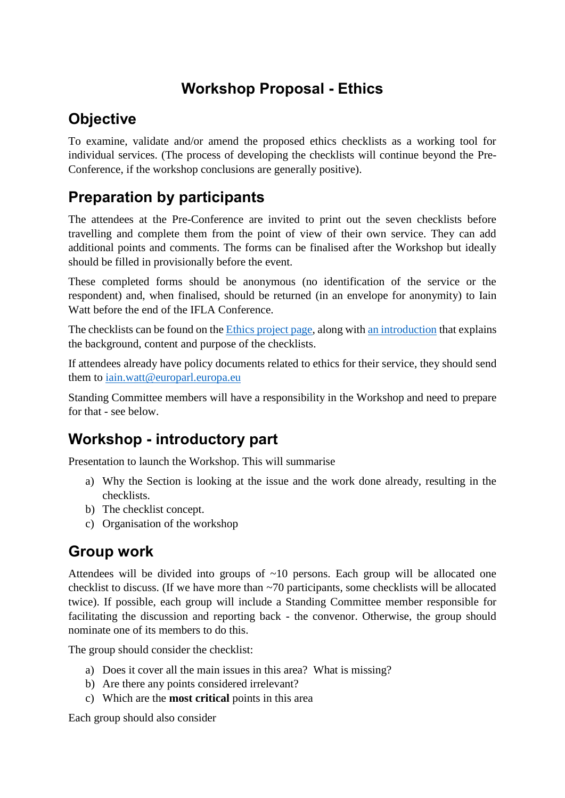## **Workshop Proposal - Ethics**

#### **Objective**

To examine, validate and/or amend the proposed ethics checklists as a working tool for individual services. (The process of developing the checklists will continue beyond the Pre-Conference, if the workshop conclusions are generally positive).

#### **Preparation by participants**

The attendees at the Pre-Conference are invited to print out the seven checklists before travelling and complete them from the point of view of their own service. They can add additional points and comments. The forms can be finalised after the Workshop but ideally should be filled in provisionally before the event.

These completed forms should be anonymous (no identification of the service or the respondent) and, when finalised, should be returned (in an envelope for anonymity) to Iain Watt before the end of the IFLA Conference.

The checklists can be found on the [Ethics project page,](https://www.ifla.org/node/61910) along with [an introduction](https://www.ifla.org/node/62123) that explains the background, content and purpose of the checklists.

If attendees already have policy documents related to ethics for their service, they should send them to [iain.watt@europarl.europa.eu](mailto:iain.watt@europarl.europa.eu)

Standing Committee members will have a responsibility in the Workshop and need to prepare for that - see below.

## **Workshop - introductory part**

Presentation to launch the Workshop. This will summarise

- a) Why the Section is looking at the issue and the work done already, resulting in the checklists.
- b) The checklist concept.
- c) Organisation of the workshop

#### **Group work**

Attendees will be divided into groups of  $~10$  persons. Each group will be allocated one checklist to discuss. (If we have more than  $\sim$  70 participants, some checklists will be allocated twice). If possible, each group will include a Standing Committee member responsible for facilitating the discussion and reporting back - the convenor. Otherwise, the group should nominate one of its members to do this.

The group should consider the checklist:

- a) Does it cover all the main issues in this area? What is missing?
- b) Are there any points considered irrelevant?
- c) Which are the **most critical** points in this area

Each group should also consider